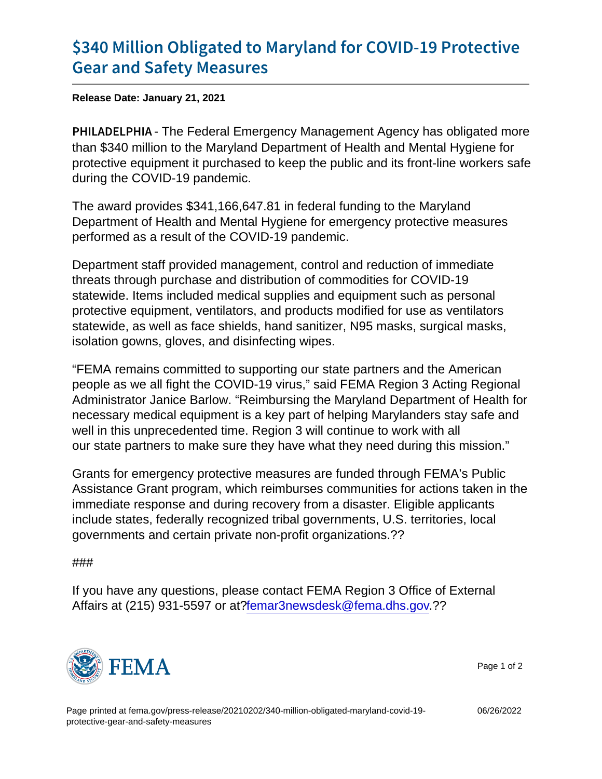## [\\$340 Million Obligated to Maryland](https://www.fema.gov/press-release/20210202/340-million-obligated-maryland-covid-19-protective-gear-and-safety-measures) for CO [Gear and Safety](https://www.fema.gov/press-release/20210202/340-million-obligated-maryland-covid-19-protective-gear-and-safety-measures) Measures

Release Date: January 21, 2021

PHILADELThe Federal Emergency Management Agency has obligated more than \$340 million to the Maryland Department of Health and Mental Hygiene for protective equipment it purchased to keep the public and its front-line workers safe during the COVID-19 pandemic.

The award provides \$341,166,647.81 in federal funding to the Maryland Department of Health and Mental Hygiene for emergency protective measures performed as a result of the COVID-19 pandemic.

Department staff provided management, control and reduction of immediate threats through purchase and distribution of commodities for COVID-19 statewide. Items included medical supplies and equipment such as personal protective equipment, ventilators, and products modified for use as ventilators statewide, as well as face shields, hand sanitizer, N95 masks, surgical masks, isolation gowns, gloves, and disinfecting wipes.

"FEMA remains committed to supporting our state partners and the American people as we all fight the COVID-19 virus," said FEMA Region 3 Acting Regional Administrator Janice Barlow. "Reimbursing the Maryland Department of Health for necessary medical equipment is a key part of helping Marylanders stay safe and well in this unprecedented time. Region 3 will continue to work with all our state partners to make sure they have what they need during this mission."

Grants for emergency protective measures are funded through FEMA's Public Assistance Grant program, which reimburses communities for actions taken in the immediate response and during recovery from a disaster. Eligible applicants include states, federally recognized tribal governments, U.S. territories, local governments and certain private non-profit organizations.??

## ###

If you have any questions, please contact FEMA Region 3 Office of External Affairs at (215) 931-5597 or at[?femar3newsdesk@fema.dhs.gov.](mailto:femar3newsdesk@fema.dhs.gov)??



Page 1 of 2